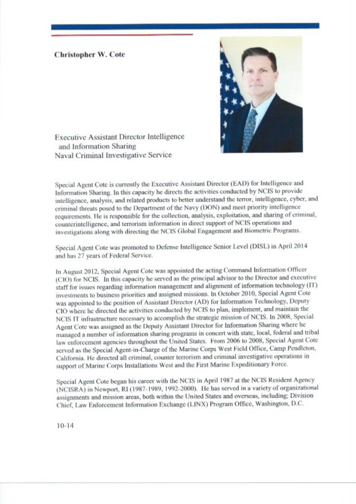## **Christopher W. Cote**



**Executive Assistant Director Intelligence** and Information Sharing Naval Criminal Investigative Service

Special Agent Cote is currently the Executive Assistant Director (EAD) for Intelligence and Information Sharing. In this capacity he directs the activities conducted by NCIS to provide intelligence, analysis, and related products to better understand the terror, intelligence, cyber, and criminal threats posed to the Department of the Navy (DON) and meet priority intelligence requirements. He is responsible for the collection, analysis, exploitation, and sharing of criminal, counterintelligence, and terrorism information in direct support of NCIS operations and investigations along with directing the NCIS Global Engagement and Biometric Programs.

Special Agent Cote was promoted to Defense Intelligence Senior Level (DISL) in April 2014 and has 27 years of Federal Service.

In August 2012, Special Agent Cote was appointed the acting Command Information Officer (CIO) for NCIS. In this capacity he served as the principal advisor to the Director and executive staff for issues regarding information management and alignment of information technology (IT) investments to business priorities and assigned missions. In October 2010, Special Agent Cote was appointed to the position of Assistant Director (AD) for Information Technology, Deputy CIO where he directed the activities conducted by NCIS to plan, implement, and maintain the NCIS IT infrastructure necessary to accomplish the strategic mission of NCIS. In 2008, Special Agent Cote was assigned as the Deputy Assistant Director for Information Sharing where he managed a number of information sharing programs in concert with state, local, federal and tribal law enforcement agencies throughout the United States. From 2006 to 2008, Special Agent Cote served as the Special Agent-in-Charge of the Marine Corps West Field Office, Camp Pendleton, California. He directed all criminal, counter terrorism and criminal investigative operations in support of Marine Corps Installations West and the First Marine Expeditionary Force.

Special Agent Cote began his career with the NCIS in April 1987 at the NCIS Resident Agency (NCISRA) in Newport, RI (1987-1989, 1992-2000). He has served in a variety of organizational assignments and mission areas, both within the United States and overseas, including; Division Chief, Law Enforcement Information Exchange (LINX) Program Office, Washington, D.C.

 $10-14$